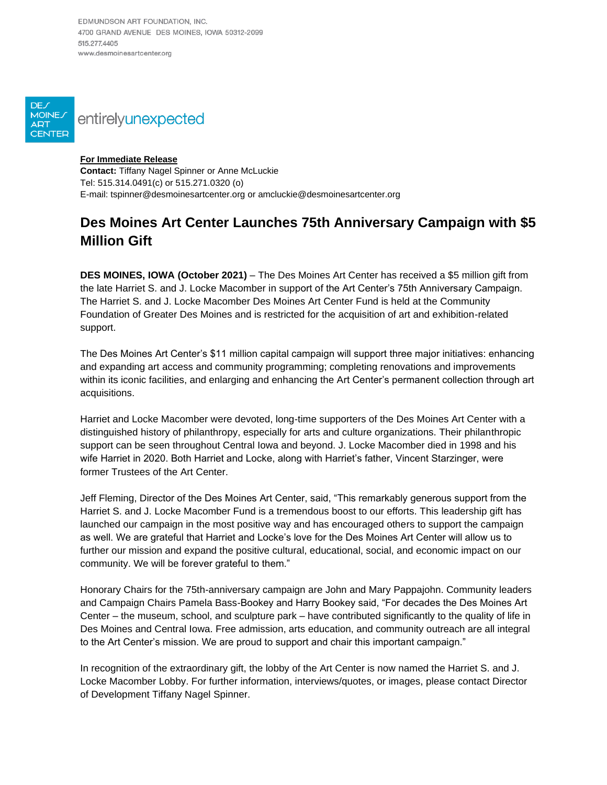EDMUNDSON ART FOUNDATION, INC. 4700 GRAND AVENUE DES MOINES, IOWA 50312-2099 515 277 4405 www.desmoinesartcenter.org



DE<sub>/</sub>

## **For Immediate Release**

**Contact:** Tiffany Nagel Spinner or Anne McLuckie Tel: 515.314.0491(c) or 515.271.0320 (o) E-mail: tspinner@desmoinesartcenter.org or amcluckie@desmoinesartcenter.org

## **Des Moines Art Center Launches 75th Anniversary Campaign with \$5 Million Gift**

**DES MOINES, IOWA (October 2021)** – The Des Moines Art Center has received a \$5 million gift from the late Harriet S. and J. Locke Macomber in support of the Art Center's 75th Anniversary Campaign. The Harriet S. and J. Locke Macomber Des Moines Art Center Fund is held at the Community Foundation of Greater Des Moines and is restricted for the acquisition of art and exhibition-related support.

The Des Moines Art Center's \$11 million capital campaign will support three major initiatives: enhancing and expanding art access and community programming; completing renovations and improvements within its iconic facilities, and enlarging and enhancing the Art Center's permanent collection through art acquisitions.

Harriet and Locke Macomber were devoted, long-time supporters of the Des Moines Art Center with a distinguished history of philanthropy, especially for arts and culture organizations. Their philanthropic support can be seen throughout Central Iowa and beyond. J. Locke Macomber died in 1998 and his wife Harriet in 2020. Both Harriet and Locke, along with Harriet's father, Vincent Starzinger, were former Trustees of the Art Center.

Jeff Fleming, Director of the Des Moines Art Center, said, "This remarkably generous support from the Harriet S. and J. Locke Macomber Fund is a tremendous boost to our efforts. This leadership gift has launched our campaign in the most positive way and has encouraged others to support the campaign as well. We are grateful that Harriet and Locke's love for the Des Moines Art Center will allow us to further our mission and expand the positive cultural, educational, social, and economic impact on our community. We will be forever grateful to them."

Honorary Chairs for the 75th-anniversary campaign are John and Mary Pappajohn. Community leaders and Campaign Chairs Pamela Bass-Bookey and Harry Bookey said, "For decades the Des Moines Art Center – the museum, school, and sculpture park – have contributed significantly to the quality of life in Des Moines and Central Iowa. Free admission, arts education, and community outreach are all integral to the Art Center's mission. We are proud to support and chair this important campaign."

In recognition of the extraordinary gift, the lobby of the Art Center is now named the Harriet S. and J. Locke Macomber Lobby. For further information, interviews/quotes, or images, please contact Director of Development Tiffany Nagel Spinner.